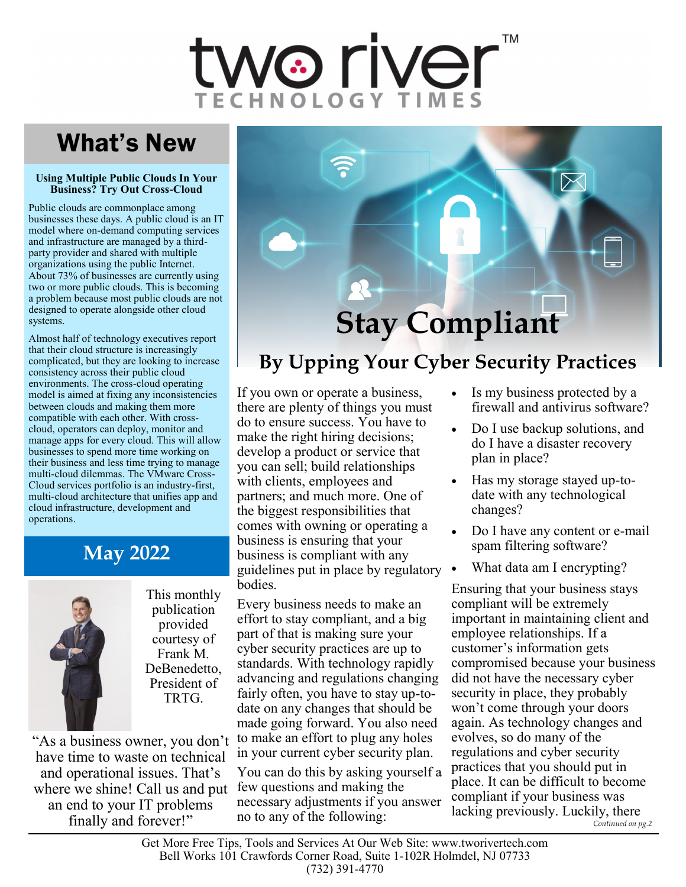# vo rivel

## What's New

#### **Using Multiple Public Clouds In Your Business? Try Out Cross-Cloud**

Public clouds are commonplace among businesses these days. A public cloud is an IT model where on-demand computing services and infrastructure are managed by a thirdparty provider and shared with multiple organizations using the public Internet. About 73% of businesses are currently using two or more public clouds. This is becoming a problem because most public clouds are not designed to operate alongside other cloud systems.

Almost half of technology executives report that their cloud structure is increasingly complicated, but they are looking to increase consistency across their public cloud environments. The cross-cloud operating model is aimed at fixing any inconsistencies between clouds and making them more compatible with each other. With crosscloud, operators can deploy, monitor and manage apps for every cloud. This will allow businesses to spend more time working on their business and less time trying to manage multi-cloud dilemmas. The VMware Cross-Cloud services portfolio is an industry-first, multi-cloud architecture that unifies app and cloud infrastructure, development and operations.

### **May 2022**



This monthly publication provided courtesy of Frank M. DeBenedetto, President of TRTG.

"As a business owner, you don't have time to waste on technical and operational issues. That's where we shine! Call us and put an end to your IT problems finally and forever!"



## **By Upping Your Cyber Security Practices**

If you own or operate a business, there are plenty of things you must do to ensure success. You have to make the right hiring decisions; develop a product or service that you can sell; build relationships with clients, employees and partners; and much more. One of the biggest responsibilities that comes with owning or operating a business is ensuring that your business is compliant with any guidelines put in place by regulatory bodies.

Every business needs to make an effort to stay compliant, and a big part of that is making sure your cyber security practices are up to standards. With technology rapidly advancing and regulations changing fairly often, you have to stay up-todate on any changes that should be made going forward. You also need to make an effort to plug any holes in your current cyber security plan.

You can do this by asking yourself a few questions and making the necessary adjustments if you answer no to any of the following:

- Is my business protected by a firewall and antivirus software?
- Do I use backup solutions, and do I have a disaster recovery plan in place?
- Has my storage stayed up-todate with any technological changes?
- Do I have any content or e-mail spam filtering software?
- What data am I encrypting?

Ensuring that your business stays compliant will be extremely important in maintaining client and employee relationships. If a customer's information gets compromised because your business did not have the necessary cyber security in place, they probably won't come through your doors again. As technology changes and evolves, so do many of the regulations and cyber security practices that you should put in place. It can be difficult to become compliant if your business was lacking previously. Luckily, there *Continued on pg.2*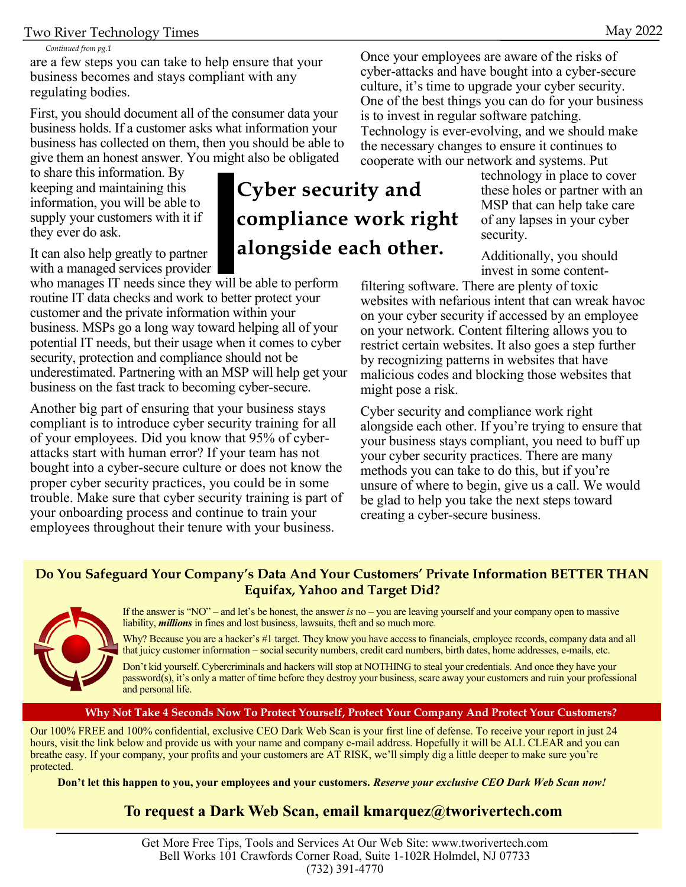#### *Continued from pg.1*

are a few steps you can take to help ensure that your business becomes and stays compliant with any regulating bodies.

First, you should document all of the consumer data your business holds. If a customer asks what information your business has collected on them, then you should be able to give them an honest answer. You might also be obligated

to share this information. By keeping and maintaining this information, you will be able to supply your customers with it if they ever do ask.

It can also help greatly to partner with a managed services provider

who manages IT needs since they will be able to perform routine IT data checks and work to better protect your customer and the private information within your business. MSPs go a long way toward helping all of your potential IT needs, but their usage when it comes to cyber security, protection and compliance should not be underestimated. Partnering with an MSP will help get your business on the fast track to becoming cyber-secure.

Another big part of ensuring that your business stays compliant is to introduce cyber security training for all of your employees. Did you know that 95% of cyberattacks start with human error? If your team has not bought into a cyber-secure culture or does not know the proper cyber security practices, you could be in some trouble. Make sure that cyber security training is part of your onboarding process and continue to train your employees throughout their tenure with your business.

## Cyber security and compliance work right alongside each other.

Once your employees are aware of the risks of cyber-attacks and have bought into a cyber-secure culture, it's time to upgrade your cyber security. One of the best things you can do for your business is to invest in regular software patching. Technology is ever-evolving, and we should make the necessary changes to ensure it continues to cooperate with our network and systems. Put

technology in place to cover these holes or partner with an MSP that can help take care of any lapses in your cyber security.

Additionally, you should invest in some content-

filtering software. There are plenty of toxic websites with nefarious intent that can wreak havoc on your cyber security if accessed by an employee on your network. Content filtering allows you to restrict certain websites. It also goes a step further by recognizing patterns in websites that have malicious codes and blocking those websites that might pose a risk.

Cyber security and compliance work right alongside each other. If you're trying to ensure that your business stays compliant, you need to buff up your cyber security practices. There are many methods you can take to do this, but if you're unsure of where to begin, give us a call. We would be glad to help you take the next steps toward creating a cyber-secure business.

#### **Do You Safeguard Your Company's Data And Your Customers' Private Information BETTER THAN Equifax, Yahoo and Target Did?**



If the answer is "NO" – and let's be honest, the answer *is* no – you are leaving yourself and your company open to massive liability, *millions* in fines and lost business, lawsuits, theft and so much more.

Why? Because you are a hacker's #1 target. They know you have access to financials, employee records, company data and all that juicy customer information – social security numbers, credit card numbers, birth dates, home addresses, e-mails, etc.

Don't kid yourself. Cybercriminals and hackers will stop at NOTHING to steal your credentials. And once they have your password(s), it's only a matter of time before they destroy your business, scare away your customers and ruin your professional and personal life.

#### **Why Not Take 4 Seconds Now To Protect Yourself, Protect Your Company And Protect Your Customers?**

Our 100% FREE and 100% confidential, exclusive CEO Dark Web Scan is your first line of defense. To receive your report in just 24 hours, visit the link below and provide us with your name and company e-mail address. Hopefully it will be ALL CLEAR and you can breathe easy. If your company, your profits and your customers are AT RISK, we'll simply dig a little deeper to make sure you're protected.

**Don't let this happen to you, your employees and your customers.** *Reserve your exclusive CEO Dark Web Scan now!*

#### **To request a Dark Web Scan, email kmarquez@tworivertech.com**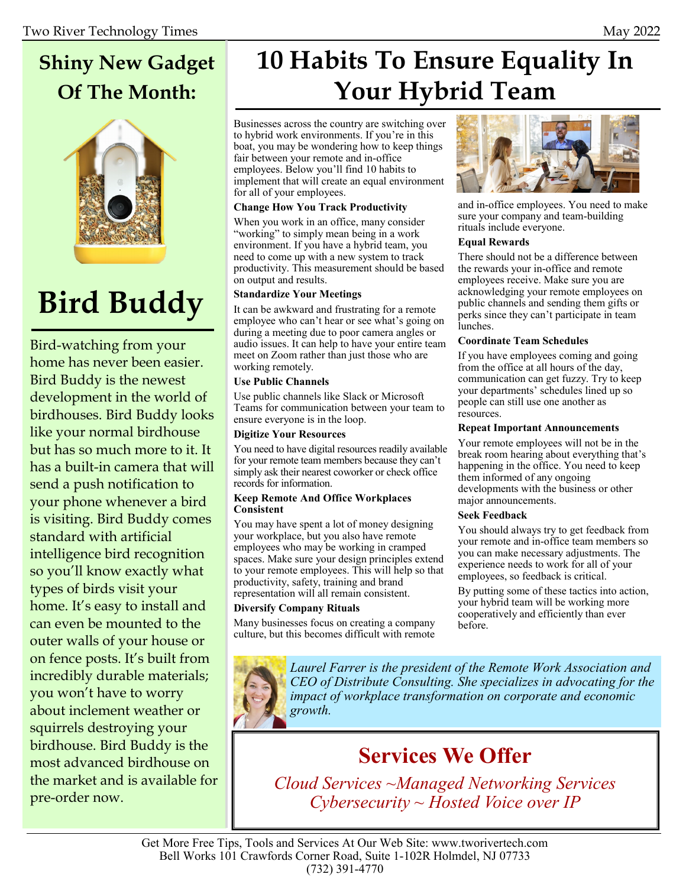## **Shiny New Gadget Of The Month:**



## **Bird Buddy**

Bird-watching from your home has never been easier. Bird Buddy is the newest development in the world of birdhouses. Bird Buddy looks like your normal birdhouse but has so much more to it. It has a built-in camera that will send a push notification to your phone whenever a bird is visiting. Bird Buddy comes standard with artificial intelligence bird recognition so you'll know exactly what types of birds visit your home. It's easy to install and can even be mounted to the outer walls of your house or on fence posts. It's built from incredibly durable materials; you won't have to worry about inclement weather or squirrels destroying your birdhouse. Bird Buddy is the most advanced birdhouse on the market and is available for pre-order now.

## **10 Habits To Ensure Equality In Your Hybrid Team**

Businesses across the country are switching over to hybrid work environments. If you're in this boat, you may be wondering how to keep things fair between your remote and in-office employees. Below you'll find 10 habits to implement that will create an equal environment for all of your employees.

#### **Change How You Track Productivity**

When you work in an office, many consider "working" to simply mean being in a work environment. If you have a hybrid team, you need to come up with a new system to track productivity. This measurement should be based on output and results.

#### **Standardize Your Meetings**

It can be awkward and frustrating for a remote employee who can't hear or see what's going on during a meeting due to poor camera angles or audio issues. It can help to have your entire team meet on Zoom rather than just those who are working remotely.

#### **Use Public Channels**

Use public channels like Slack or Microsoft Teams for communication between your team to ensure everyone is in the loop.

#### **Digitize Your Resources**

You need to have digital resources readily available for your remote team members because they can't simply ask their nearest coworker or check office records for information.

#### **Keep Remote And Office Workplaces Consistent**

You may have spent a lot of money designing your workplace, but you also have remote employees who may be working in cramped spaces. Make sure your design principles extend to your remote employees. This will help so that productivity, safety, training and brand representation will all remain consistent.

#### **Diversify Company Rituals**

Many businesses focus on creating a company culture, but this becomes difficult with remote



and in-office employees. You need to make sure your company and team-building rituals include everyone.

#### **Equal Rewards**

There should not be a difference between the rewards your in-office and remote employees receive. Make sure you are acknowledging your remote employees on public channels and sending them gifts or perks since they can't participate in team lunches.

#### **Coordinate Team Schedules**

If you have employees coming and going from the office at all hours of the day, communication can get fuzzy. Try to keep your departments' schedules lined up so people can still use one another as resources.

#### **Repeat Important Announcements**

Your remote employees will not be in the break room hearing about everything that's happening in the office. You need to keep them informed of any ongoing developments with the business or other major announcements.

#### **Seek Feedback**

You should always try to get feedback from your remote and in-office team members so you can make necessary adjustments. The experience needs to work for all of your employees, so feedback is critical.

By putting some of these tactics into action, your hybrid team will be working more cooperatively and efficiently than ever before.



## **Services We Offer**

*Cloud Services ~Managed Networking Services Cybersecurity ~ Hosted Voice over IP*